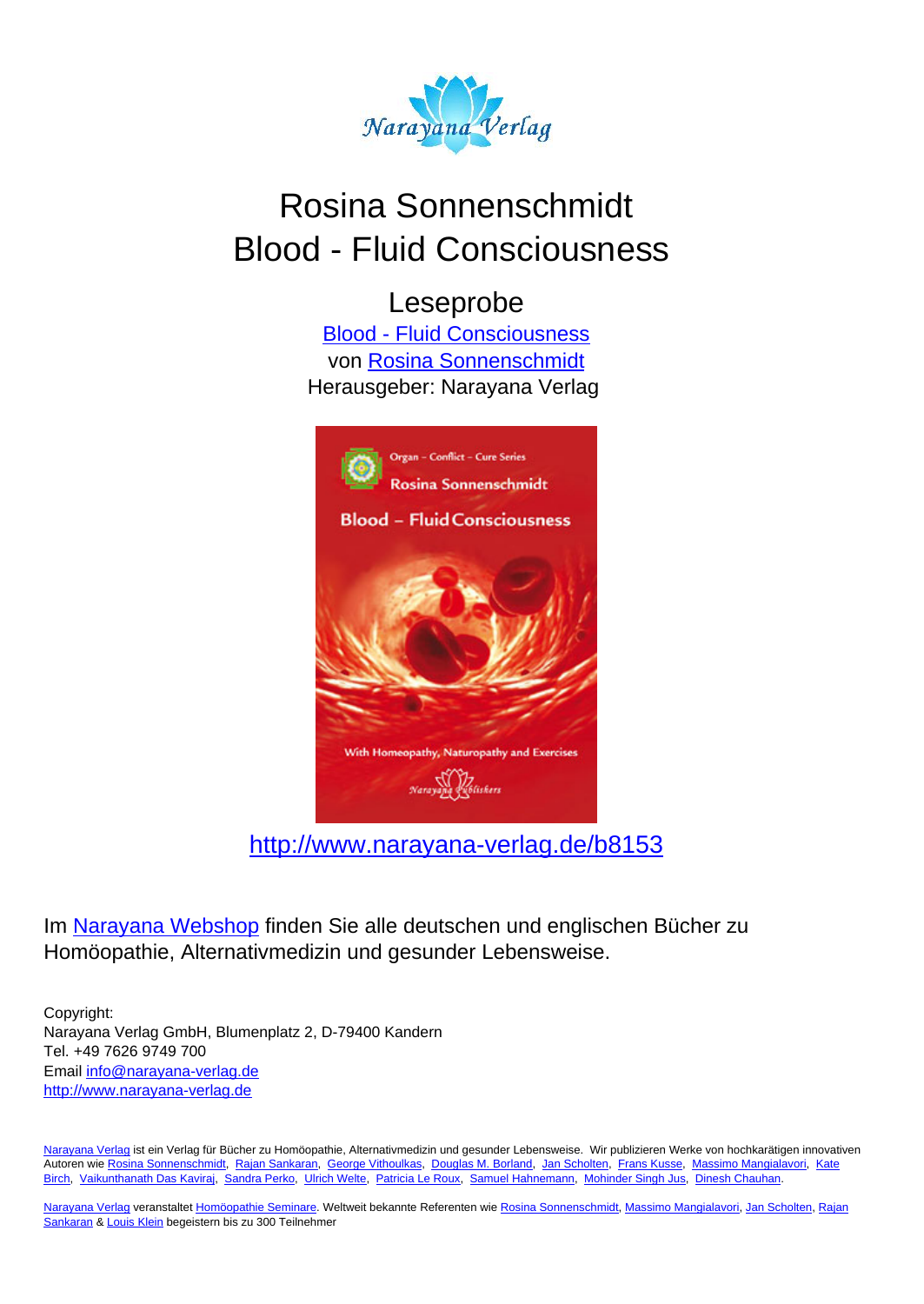

# Rosina Sonnenschmidt Blood - Fluid Consciousness

Leseprobe

[Blood - Fluid Consciousness](http://www.narayana-verlag.de/Blood-Fluid-Consciousness-Rosina-Sonnenschmidt/b8153/partner/leseprobe) von [Rosina Sonnenschmidt](http://www.narayana-verlag.de/Rosina-Sonnenschmidt/a835/partner/leseprobe) Herausgeber: Narayana Verlag



[http://www.narayana-verlag.de/b8153](http://www.narayana-verlag.de/Blood-Fluid-Consciousness-Rosina-Sonnenschmidt/b8153/partner/leseprobe)

Im [Narayana Webshop](http://www.narayana-verlag.de/partner/leseprobe) finden Sie alle deutschen und englischen Bücher zu Homöopathie, Alternativmedizin und gesunder Lebensweise.

Copyright: Narayana Verlag GmbH, Blumenplatz 2, D-79400 Kandern Tel. +49 7626 9749 700 Email [info@narayana-verlag.de](mailto:info@narayana-verlag.de) [http://www.narayana-verlag.de](http://www.narayana-verlag.de/partner/leseprobe)

[Narayana Verlag](http://www.narayana-verlag.de/partner/leseprobe) ist ein Verlag für Bücher zu Homöopathie, Alternativmedizin und gesunder Lebensweise. Wir publizieren Werke von hochkarätigen innovativen Autoren wie [Rosina Sonnenschmidt,](http://www.narayana-verlag.de/Rosina-Sonnenschmidt/a835/partner/leseprobe) [Rajan Sankaran,](http://www.narayana-verlag.de/Rajan-Sankaran/a747/partner/leseprobe) [George Vithoulkas](http://www.narayana-verlag.de/George-Vithoulkas/a917/partner/leseprobe), [Douglas M. Borland](http://www.narayana-verlag.de/Douglas-M-Borland/a86/partner/leseprobe), [Jan Scholten,](http://www.narayana-verlag.de/Jan-Scholten/a777/partner/leseprobe) [Frans Kusse](http://www.narayana-verlag.de/Frans-Kusse/a1305/partner/leseprobe), [Massimo Mangialavori](http://www.narayana-verlag.de/Massimo-Mangialavori/a538/partner/leseprobe), [Kate](http://www.narayana-verlag.de/Kate-Birch/a1439/partner/leseprobe) [Birch,](http://www.narayana-verlag.de/Kate-Birch/a1439/partner/leseprobe) [Vaikunthanath Das Kaviraj](http://www.narayana-verlag.de/Vaikunthanath-Das-Kaviraj/a1476/partner/leseprobe), [Sandra Perko,](http://www.narayana-verlag.de/Sandra-Perko/a642/partner/leseprobe) [Ulrich Welte](http://www.narayana-verlag.de/Ulrich-Welte/a935/partner/leseprobe), [Patricia Le Roux](http://www.narayana-verlag.de/Patricia-Le-Roux/a1230/partner/leseprobe), [Samuel Hahnemann](http://www.narayana-verlag.de/Samuel-Hahnemann/a329/partner/leseprobe), [Mohinder Singh Jus](http://www.narayana-verlag.de/Mohinder-Singh-Jus/a417/partner/leseprobe), [Dinesh Chauhan.](http://www.narayana-verlag.de/Dinesh-Chauhan/a123/partner/leseprobe)

[Narayana Verlag](http://www.narayana-verlag.de/partner/leseprobe) veranstaltet [Homöopathie Seminare](http://www.narayana-verlag.de/Seminare/c162/partner/leseprobe). Weltweit bekannte Referenten wie [Rosina Sonnenschmidt](http://www.narayana-verlag.de/Rosina-Sonnenschmidt/a835/partner/leseprobe), [Massimo Mangialavori](http://www.narayana-verlag.de/Massimo-Mangialavori/a538/partner/leseprobe), [Jan Scholten](http://www.narayana-verlag.de/Jan-Scholten/a777/partner/leseprobe), [Rajan](http://www.narayana-verlag.de/Rajan-Sankaran/a747/partner/leseprobe) [Sankaran](http://www.narayana-verlag.de/Rajan-Sankaran/a747/partner/leseprobe) & [Louis Klein](http://www.narayana-verlag.de/Louis-Klein/a450/partner/leseprobe) begeistern bis zu 300 Teilnehmer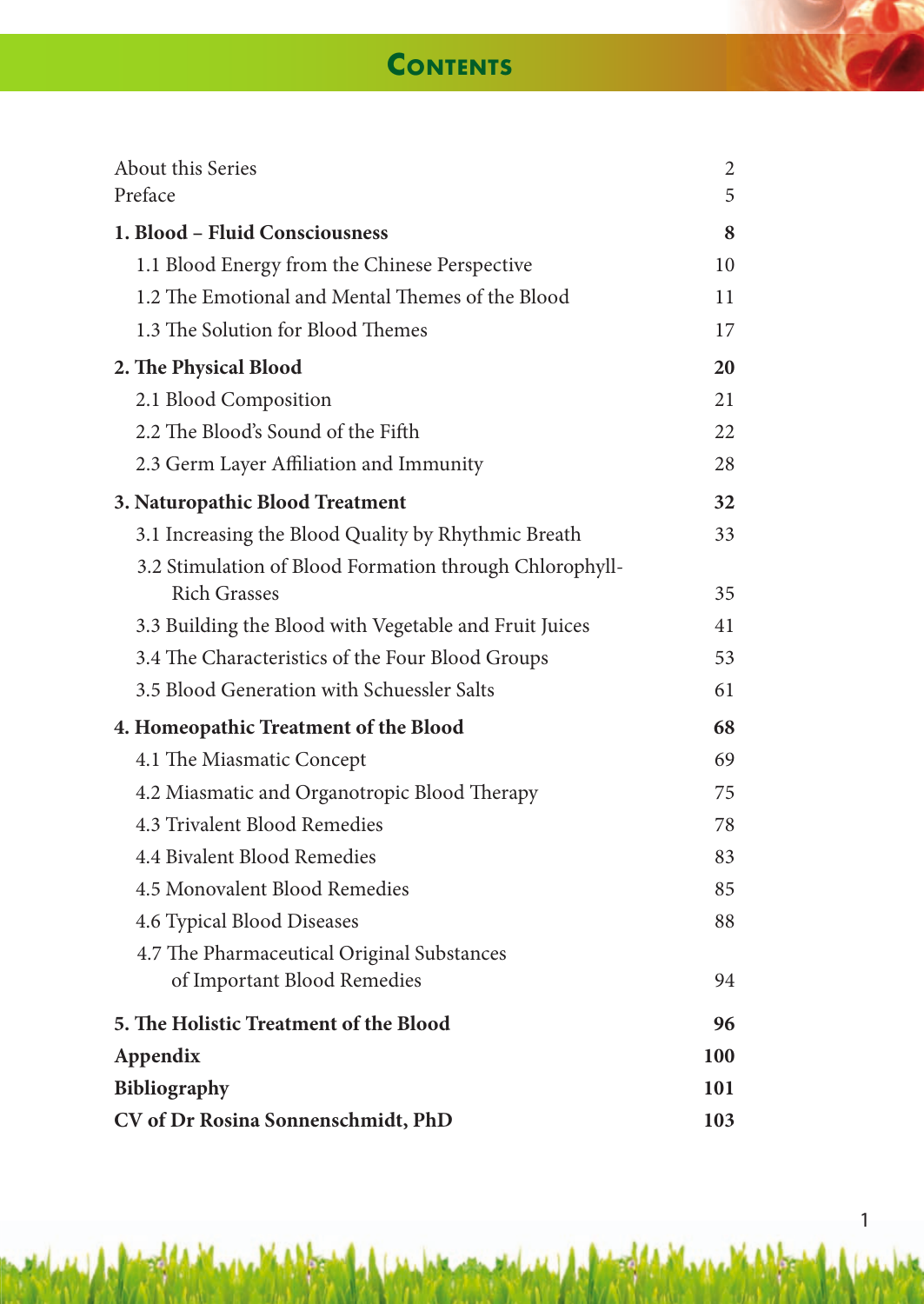# **Contents**

| About this Series<br>Preface                                                   | $\overline{c}$<br>5 |  |  |
|--------------------------------------------------------------------------------|---------------------|--|--|
| 1. Blood - Fluid Consciousness                                                 |                     |  |  |
| 1.1 Blood Energy from the Chinese Perspective                                  | 10                  |  |  |
| 1.2 The Emotional and Mental Themes of the Blood                               | 11                  |  |  |
| 1.3 The Solution for Blood Themes                                              | 17                  |  |  |
| 2. The Physical Blood                                                          | 20                  |  |  |
| 2.1 Blood Composition                                                          | 21                  |  |  |
| 2.2 The Blood's Sound of the Fifth                                             | 22                  |  |  |
| 2.3 Germ Layer Affiliation and Immunity                                        | 28                  |  |  |
| 3. Naturopathic Blood Treatment                                                | 32                  |  |  |
| 3.1 Increasing the Blood Quality by Rhythmic Breath                            | 33                  |  |  |
| 3.2 Stimulation of Blood Formation through Chlorophyll-<br><b>Rich Grasses</b> | 35                  |  |  |
| 3.3 Building the Blood with Vegetable and Fruit Juices                         | 41                  |  |  |
| 3.4 The Characteristics of the Four Blood Groups                               | 53                  |  |  |
| 3.5 Blood Generation with Schuessler Salts                                     | 61                  |  |  |
| 4. Homeopathic Treatment of the Blood                                          |                     |  |  |
| 4.1 The Miasmatic Concept                                                      | 69                  |  |  |
| 4.2 Miasmatic and Organotropic Blood Therapy                                   | 75                  |  |  |
| 4.3 Trivalent Blood Remedies                                                   | 78                  |  |  |
| 4.4 Bivalent Blood Remedies                                                    | 83                  |  |  |
| 4.5 Monovalent Blood Remedies                                                  | 85                  |  |  |
| 4.6 Typical Blood Diseases                                                     | 88                  |  |  |
| 4.7 The Pharmaceutical Original Substances                                     |                     |  |  |
| of Important Blood Remedies                                                    | 94                  |  |  |
| 5. The Holistic Treatment of the Blood                                         |                     |  |  |
| Appendix                                                                       |                     |  |  |
| Bibliography                                                                   |                     |  |  |
| CV of Dr Rosina Sonnenschmidt, PhD                                             |                     |  |  |

1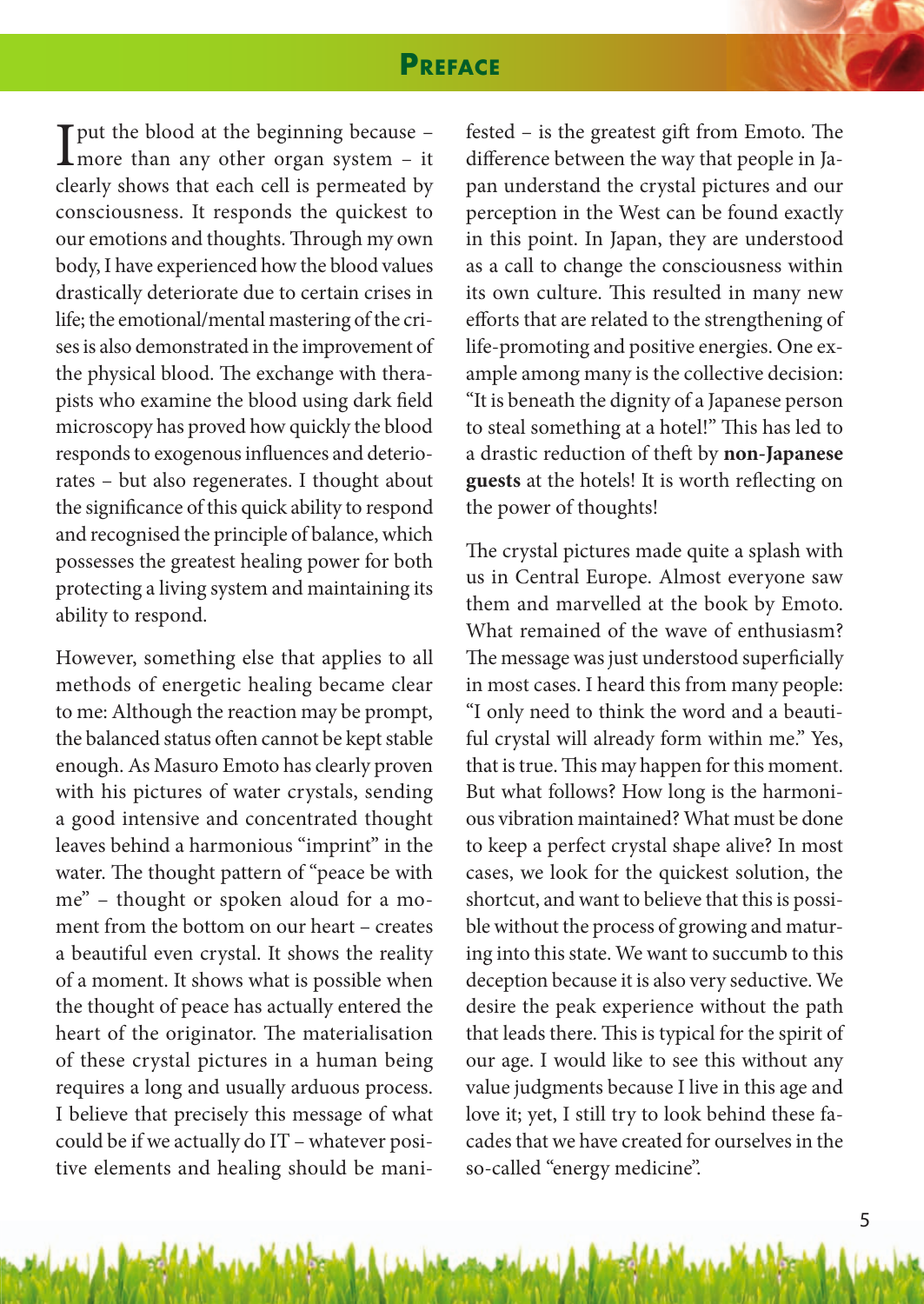## **PrefACe**

 $\prod_{\text{more than any other organ system - it}}$ clearly shows that each cell is permeated by consciousness. It responds the quickest to our emotions and thoughts. Through my own body, I have experienced how the blood values drastically deteriorate due to certain crises in life; the emotional/mental mastering of the crises is also demonstrated in the improvement of the physical blood. The exchange with therapists who examine the blood using dark field microscopy has proved how quickly the blood responds to exogenous influences and deteriorates – but also regenerates. I thought about the significance of this quick ability to respond and recognised the principle of balance, which possesses the greatest healing power for both protecting a living system and maintaining its ability to respond.

However, something else that applies to all methods of energetic healing became clear to me: Although the reaction may be prompt, the balanced status often cannot be kept stable enough. As Masuro Emoto has clearly proven with his pictures of water crystals, sending a good intensive and concentrated thought leaves behind a harmonious "imprint" in the water. The thought pattern of "peace be with me" – thought or spoken aloud for a moment from the bottom on our heart – creates a beautiful even crystal. It shows the reality of a moment. It shows what is possible when the thought of peace has actually entered the heart of the originator. The materialisation of these crystal pictures in a human being requires a long and usually arduous process. I believe that precisely this message of what could be if we actually do IT – whatever positive elements and healing should be manifested – is the greatest gift from Emoto. The difference between the way that people in Japan understand the crystal pictures and our perception in the West can be found exactly in this point. In Japan, they are understood as a call to change the consciousness within its own culture. This resulted in many new efforts that are related to the strengthening of life-promoting and positive energies. One example among many is the collective decision: "It is beneath the dignity of a Japanese person to steal something at a hotel!" This has led to a drastic reduction of theft by **non-Japanese guests** at the hotels! It is worth reflecting on the power of thoughts!

The crystal pictures made quite a splash with us in Central Europe. Almost everyone saw them and marvelled at the book by Emoto. What remained of the wave of enthusiasm? The message was just understood superficially in most cases. I heard this from many people: "I only need to think the word and a beautiful crystal will already form within me." Yes, that is true. This may happen for this moment. But what follows? How long is the harmonious vibration maintained? What must be done to keep a perfect crystal shape alive? In most cases, we look for the quickest solution, the shortcut, and want to believe that this is possible without the process of growing and maturing into this state. We want to succumb to this deception because it is also very seductive. We desire the peak experience without the path that leads there. This is typical for the spirit of our age. I would like to see this without any value judgments because I live in this age and love it; yet, I still try to look behind these facades that we have created for ourselves in the so-called "energy medicine".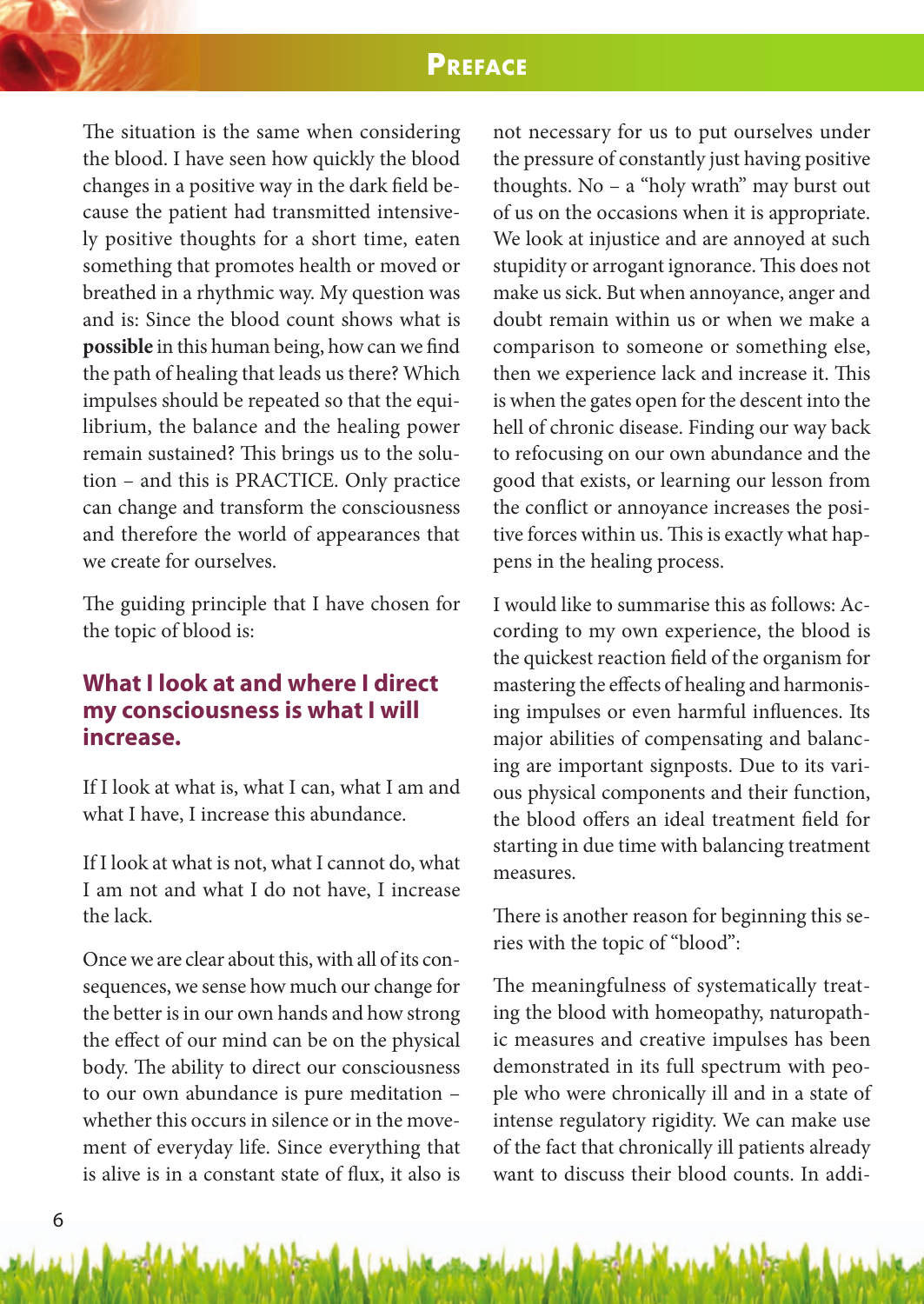## **PrefACe**

The situation is the same when considering the blood. I have seen how quickly the blood changes in a positive way in the dark field because the patient had transmitted intensively positive thoughts for a short time, eaten something that promotes health or moved or breathed in a rhythmic way. My question was and is: Since the blood count shows what is **possible** in this human being, how can we find the path of healing that leads us there? Which impulses should be repeated so that the equilibrium, the balance and the healing power remain sustained? This brings us to the solution – and this is PRACTICE. Only practice can change and transform the consciousness and therefore the world of appearances that we create for ourselves.

The guiding principle that I have chosen for the topic of blood is:

### **What I look at and where I direct my consciousness is what I will increase.**

If I look at what is, what I can, what I am and what I have, I increase this abundance.

If I look at what is not, what I cannot do, what I am not and what I do not have, I increase the lack.

Once we are clear about this, with all of its consequences, we sense how much our change for the better is in our own hands and how strong the effect of our mind can be on the physical body. The ability to direct our consciousness to our own abundance is pure meditation – whether this occurs in silence or in the movement of everyday life. Since everything that is alive is in a constant state of flux, it also is

not necessary for us to put ourselves under the pressure of constantly just having positive thoughts. No – a "holy wrath" may burst out of us on the occasions when it is appropriate. We look at injustice and are annoyed at such stupidity or arrogant ignorance. This does not make us sick. But when annoyance, anger and doubt remain within us or when we make a comparison to someone or something else, then we experience lack and increase it. This is when the gates open for the descent into the hell of chronic disease. Finding our way back to refocusing on our own abundance and the good that exists, or learning our lesson from the conflict or annoyance increases the positive forces within us. This is exactly what happens in the healing process.

I would like to summarise this as follows: According to my own experience, the blood is the quickest reaction field of the organism for mastering the effects of healing and harmonising impulses or even harmful influences. Its major abilities of compensating and balancing are important signposts. Due to its various physical components and their function, the blood offers an ideal treatment field for starting in due time with balancing treatment measures.

There is another reason for beginning this series with the topic of "blood":

The meaningfulness of systematically treating the blood with homeopathy, naturopathic measures and creative impulses has been demonstrated in its full spectrum with people who were chronically ill and in a state of intense regulatory rigidity. We can make use of the fact that chronically ill patients already want to discuss their blood counts. In addi-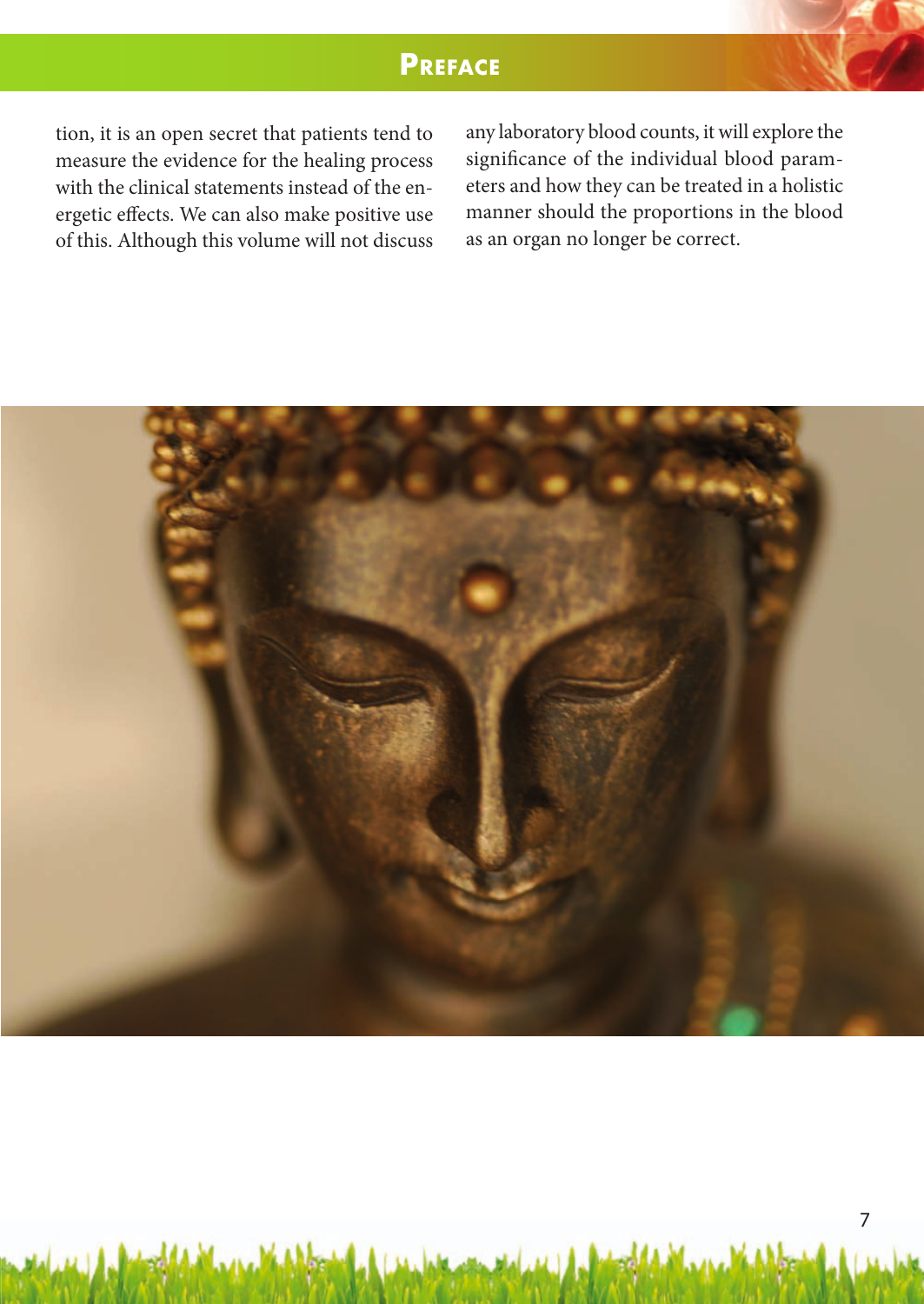## **PrefACe**

tion, it is an open secret that patients tend to measure the evidence for the healing process with the clinical statements instead of the energetic effects. We can also make positive use of this. Although this volume will not discuss any laboratory blood counts, it will explore the significance of the individual blood parameters and how they can be treated in a holistic manner should the proportions in the blood as an organ no longer be correct.

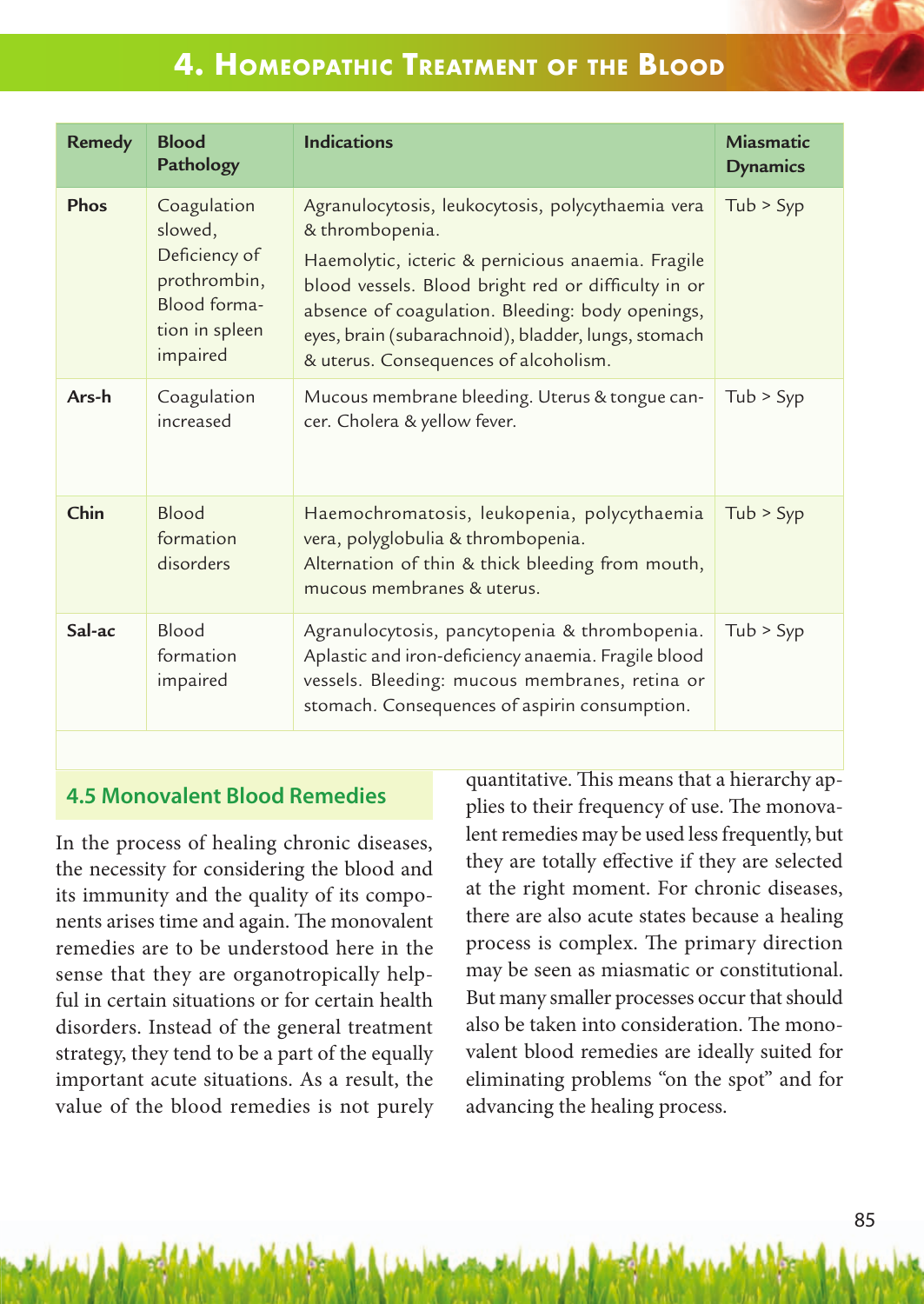# **4. homeoPAthiC treAtment of the blood**

| <b>Remedy</b> | <b>Blood</b><br>Pathology                                                                             | <b>Indications</b>                                                                                                                                                                                                                                                                                                                   | <b>Miasmatic</b><br><b>Dynamics</b> |
|---------------|-------------------------------------------------------------------------------------------------------|--------------------------------------------------------------------------------------------------------------------------------------------------------------------------------------------------------------------------------------------------------------------------------------------------------------------------------------|-------------------------------------|
| Phos          | Coagulation<br>slowed,<br>Deficiency of<br>prothrombin,<br>Blood forma-<br>tion in spleen<br>impaired | Agranulocytosis, leukocytosis, polycythaemia vera<br>& thrombopenia.<br>Haemolytic, icteric & pernicious anaemia. Fragile<br>blood vessels. Blood bright red or difficulty in or<br>absence of coagulation. Bleeding: body openings,<br>eyes, brain (subarachnoid), bladder, lungs, stomach<br>& uterus. Consequences of alcoholism. | Tub > Syp                           |
| Ars-h         | Coagulation<br>increased                                                                              | Mucous membrane bleeding. Uterus & tongue can-<br>cer. Cholera & yellow fever.                                                                                                                                                                                                                                                       | Tub > Syp                           |
| Chin          | Blood<br>formation<br>disorders                                                                       | Haemochromatosis, leukopenia, polycythaemia<br>vera, polyglobulia & thrombopenia.<br>Alternation of thin & thick bleeding from mouth,<br>mucous membranes & uterus.                                                                                                                                                                  | Tub > Syp                           |
| Sal-ac        | Blood<br>formation<br>impaired                                                                        | Agranulocytosis, pancytopenia & thrombopenia.<br>Aplastic and iron-deficiency anaemia. Fragile blood<br>vessels. Bleeding: mucous membranes, retina or<br>stomach. Consequences of aspirin consumption.                                                                                                                              | Tub > Syp                           |

### **4.5 Monovalent Blood Remedies**

In the process of healing chronic diseases, the necessity for considering the blood and its immunity and the quality of its components arises time and again. The monovalent remedies are to be understood here in the sense that they are organotropically helpful in certain situations or for certain health disorders. Instead of the general treatment strategy, they tend to be a part of the equally important acute situations. As a result, the value of the blood remedies is not purely quantitative. This means that a hierarchy applies to their frequency of use. The monovalent remedies may be used less frequently, but they are totally effective if they are selected at the right moment. For chronic diseases, there are also acute states because a healing process is complex. The primary direction may be seen as miasmatic or constitutional. But many smaller processes occur that should also be taken into consideration. The monovalent blood remedies are ideally suited for eliminating problems "on the spot" and for advancing the healing process.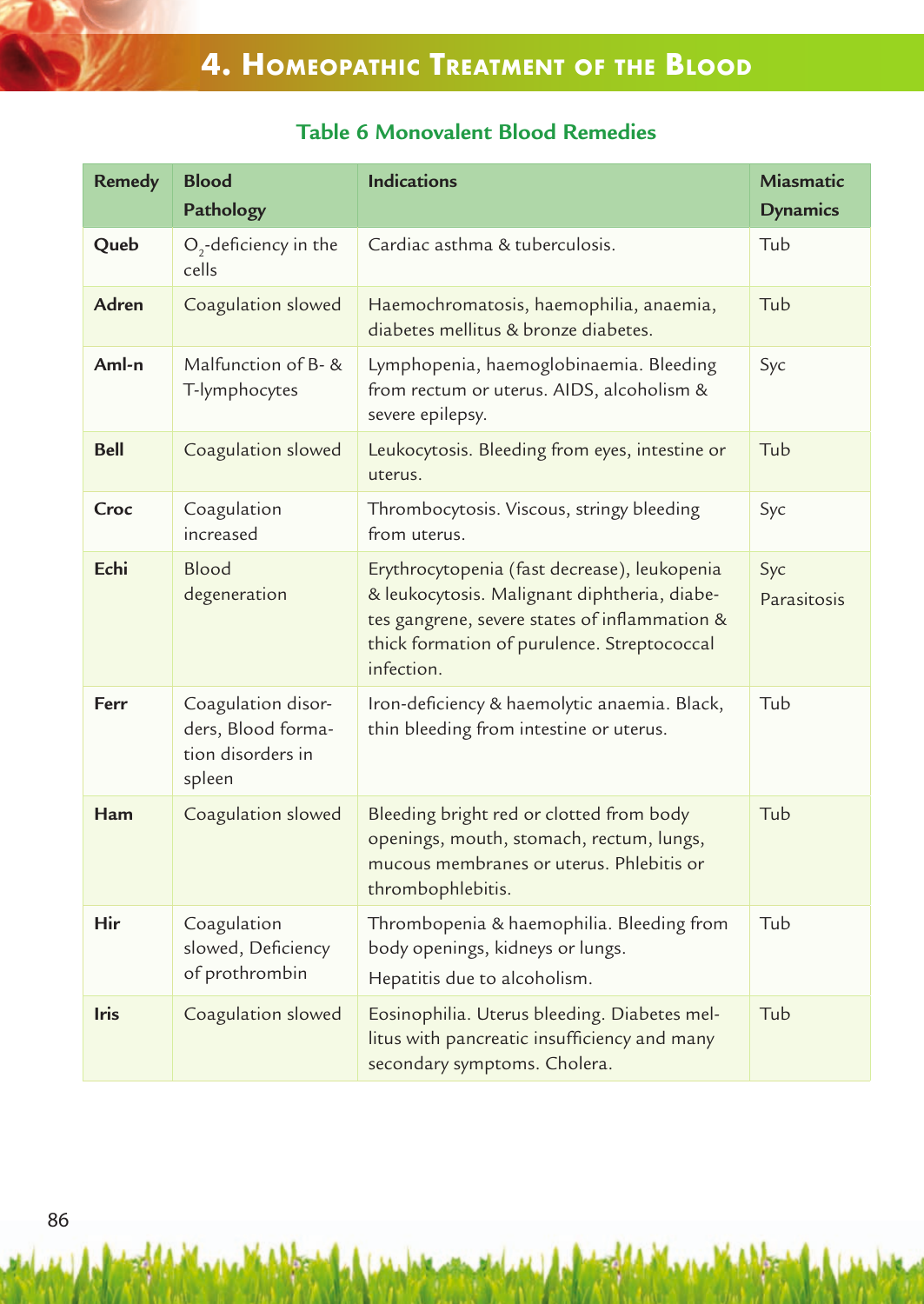## **Table 6 Monovalent Blood Remedies**

| <b>Remedy</b> | <b>Blood</b><br>Pathology                                               | <b>Indications</b>                                                                                                                                                                                         | Miasmatic<br><b>Dynamics</b> |
|---------------|-------------------------------------------------------------------------|------------------------------------------------------------------------------------------------------------------------------------------------------------------------------------------------------------|------------------------------|
| Queb          | $O2$ -deficiency in the<br>cells                                        | Cardiac asthma & tuberculosis.                                                                                                                                                                             | Tub                          |
| Adren         | Coagulation slowed                                                      | Haemochromatosis, haemophilia, anaemia,<br>diabetes mellitus & bronze diabetes.                                                                                                                            | Tub                          |
| Aml-n         | Malfunction of B- &<br>T-lymphocytes                                    | Lymphopenia, haemoglobinaemia. Bleeding<br>from rectum or uterus. AIDS, alcoholism &<br>severe epilepsy.                                                                                                   | Syc                          |
| <b>Bell</b>   | Coagulation slowed                                                      | Leukocytosis. Bleeding from eyes, intestine or<br>uterus.                                                                                                                                                  | Tub                          |
| Croc          | Coagulation<br>increased                                                | Thrombocytosis. Viscous, stringy bleeding<br>from uterus.                                                                                                                                                  | Syc                          |
| Echi          | Blood<br>degeneration                                                   | Erythrocytopenia (fast decrease), leukopenia<br>& leukocytosis. Malignant diphtheria, diabe-<br>tes gangrene, severe states of inflammation &<br>thick formation of purulence. Streptococcal<br>infection. | Syc<br>Parasitosis           |
| Ferr          | Coagulation disor-<br>ders, Blood forma-<br>tion disorders in<br>spleen | Iron-deficiency & haemolytic anaemia. Black,<br>thin bleeding from intestine or uterus.                                                                                                                    | Tub                          |
| Ham           | Coagulation slowed                                                      | Bleeding bright red or clotted from body<br>openings, mouth, stomach, rectum, lungs,<br>mucous membranes or uterus. Phlebitis or<br>thrombophlebitis.                                                      | Tub                          |
| Hir           | Coagulation<br>slowed, Deficiency<br>of prothrombin                     | Thrombopenia & haemophilia. Bleeding from<br>body openings, kidneys or lungs.<br>Hepatitis due to alcoholism.                                                                                              | Tub                          |
| <b>Iris</b>   | Coagulation slowed                                                      | Eosinophilia. Uterus bleeding. Diabetes mel-<br>litus with pancreatic insufficiency and many<br>secondary symptoms. Cholera.                                                                               | Tub                          |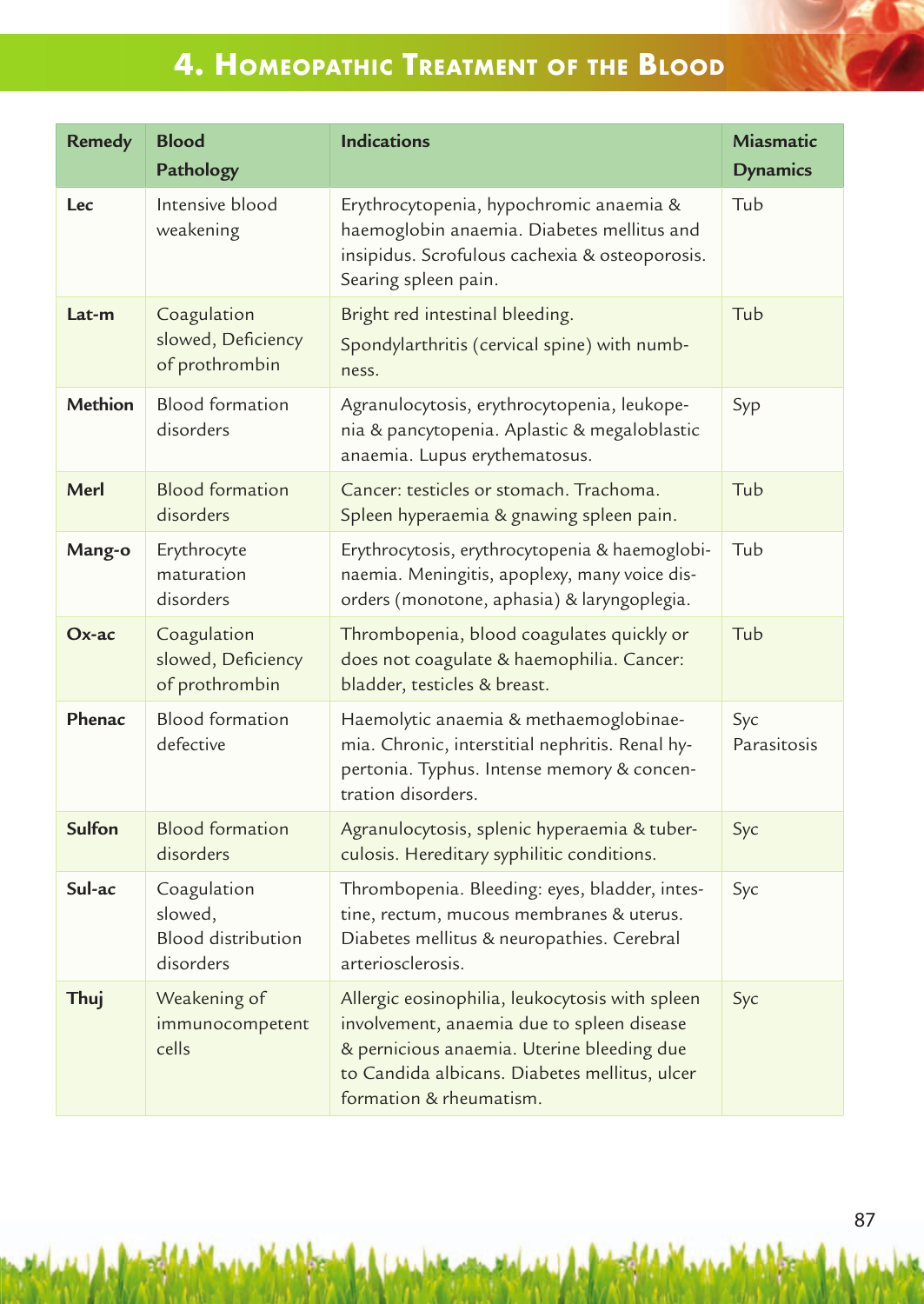# **4. homeoPAthiC treAtment of the blood**

| <b>Remedy</b>  | <b>Blood</b><br>Pathology                                        | <b>Indications</b>                                                                                                                                                                                                      | Miasmatic<br><b>Dynamics</b> |
|----------------|------------------------------------------------------------------|-------------------------------------------------------------------------------------------------------------------------------------------------------------------------------------------------------------------------|------------------------------|
| Lec            | Intensive blood<br>weakening                                     | Erythrocytopenia, hypochromic anaemia &<br>haemoglobin anaemia. Diabetes mellitus and<br>insipidus. Scrofulous cachexia & osteoporosis.<br>Searing spleen pain.                                                         | Tub                          |
| Lat-m          | Coagulation<br>slowed, Deficiency<br>of prothrombin              | Bright red intestinal bleeding.<br>Spondylarthritis (cervical spine) with numb-<br>ness.                                                                                                                                | Tub                          |
| <b>Methion</b> | <b>Blood formation</b><br>disorders                              | Agranulocytosis, erythrocytopenia, leukope-<br>nia & pancytopenia. Aplastic & megaloblastic<br>anaemia. Lupus erythematosus.                                                                                            | Syp                          |
| Merl           | <b>Blood formation</b><br>disorders                              | Cancer: testicles or stomach. Trachoma.<br>Spleen hyperaemia & gnawing spleen pain.                                                                                                                                     | Tub                          |
| Mang-o         | Erythrocyte<br>maturation<br>disorders                           | Erythrocytosis, erythrocytopenia & haemoglobi-<br>naemia. Meningitis, apoplexy, many voice dis-<br>orders (monotone, aphasia) & laryngoplegia.                                                                          | Tub                          |
| $Ox$ -ac       | Coagulation<br>slowed, Deficiency<br>of prothrombin              | Thrombopenia, blood coagulates quickly or<br>does not coagulate & haemophilia. Cancer:<br>bladder, testicles & breast.                                                                                                  | Tub                          |
| Phenac         | <b>Blood formation</b><br>defective                              | Haemolytic anaemia & methaemoglobinae-<br>mia. Chronic, interstitial nephritis. Renal hy-<br>pertonia. Typhus. Intense memory & concen-<br>tration disorders.                                                           | Syc<br>Parasitosis           |
| Sulfon         | <b>Blood formation</b><br>disorders                              | Agranulocytosis, splenic hyperaemia & tuber-<br>culosis. Hereditary syphilitic conditions.                                                                                                                              | Syc                          |
| Sul-ac         | Coagulation<br>slowed,<br><b>Blood distribution</b><br>disorders | Thrombopenia. Bleeding: eyes, bladder, intes-<br>tine, rectum, mucous membranes & uterus.<br>Diabetes mellitus & neuropathies. Cerebral<br>arteriosclerosis.                                                            | Syc                          |
| Thuj           | Weakening of<br>immunocompetent<br>cells                         | Allergic eosinophilia, leukocytosis with spleen<br>involvement, anaemia due to spleen disease<br>& pernicious anaemia. Uterine bleeding due<br>to Candida albicans. Diabetes mellitus, ulcer<br>formation & rheumatism. | Syc                          |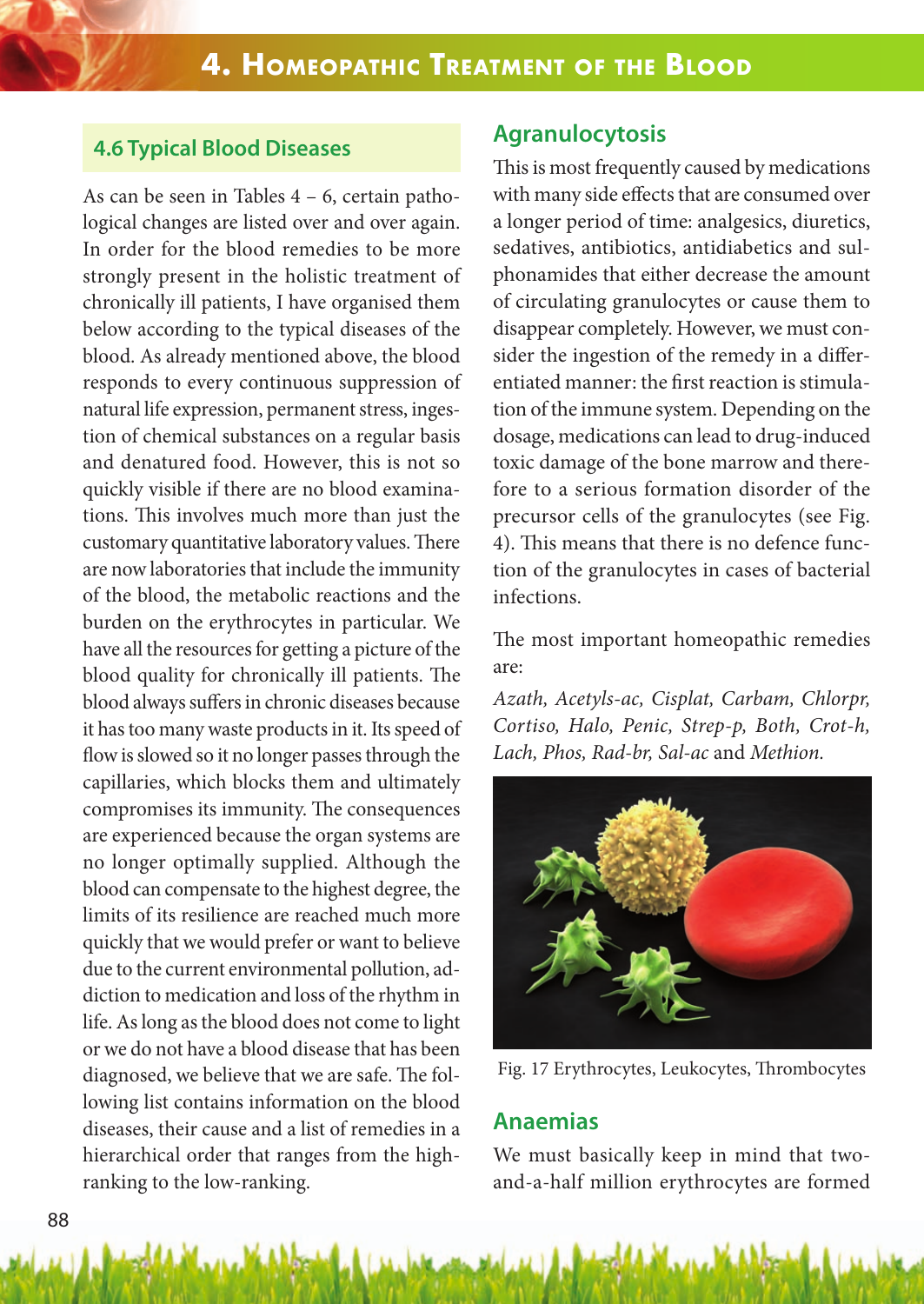#### **4.6 Typical Blood Diseases**

As can be seen in Tables 4 – 6, certain pathological changes are listed over and over again. In order for the blood remedies to be more strongly present in the holistic treatment of chronically ill patients, I have organised them below according to the typical diseases of the blood. As already mentioned above, the blood responds to every continuous suppression of natural life expression, permanent stress, ingestion of chemical substances on a regular basis and denatured food. However, this is not so quickly visible if there are no blood examinations. This involves much more than just the customary quantitative laboratory values. There are now laboratories that include the immunity of the blood, the metabolic reactions and the burden on the erythrocytes in particular. We have all the resources for getting a picture of the blood quality for chronically ill patients. The blood always suffers in chronic diseases because it has too many waste products in it. Its speed of flow is slowed so it no longer passes through the capillaries, which blocks them and ultimately compromises its immunity. The consequences are experienced because the organ systems are no longer optimally supplied. Although the blood can compensate to the highest degree, the limits of its resilience are reached much more quickly that we would prefer or want to believe due to the current environmental pollution, addiction to medication and loss of the rhythm in life. As long as the blood does not come to light or we do not have a blood disease that has been diagnosed, we believe that we are safe. The following list contains information on the blood diseases, their cause and a list of remedies in a hierarchical order that ranges from the highranking to the low-ranking.

#### **Agranulocytosis**

This is most frequently caused by medications with many side effects that are consumed over a longer period of time: analgesics, diuretics, sedatives, antibiotics, antidiabetics and sulphonamides that either decrease the amount of circulating granulocytes or cause them to disappear completely. However, we must consider the ingestion of the remedy in a differentiated manner: the first reaction is stimulation of the immune system. Depending on the dosage, medications can lead to drug-induced toxic damage of the bone marrow and therefore to a serious formation disorder of the precursor cells of the granulocytes (see Fig. 4). This means that there is no defence function of the granulocytes in cases of bacterial infections.

The most important homeopathic remedies are:

*Azath, Acetyls-ac, Cisplat, Carbam, Chlorpr, Cortiso, Halo, Penic, Strep-p, Both, Crot-h, Lach, Phos, Rad-br, Sal-ac* and *Methion.*



Fig. 17 Erythrocytes, Leukocytes, Thrombocytes

#### **Anaemias**

We must basically keep in mind that twoand-a-half million erythrocytes are formed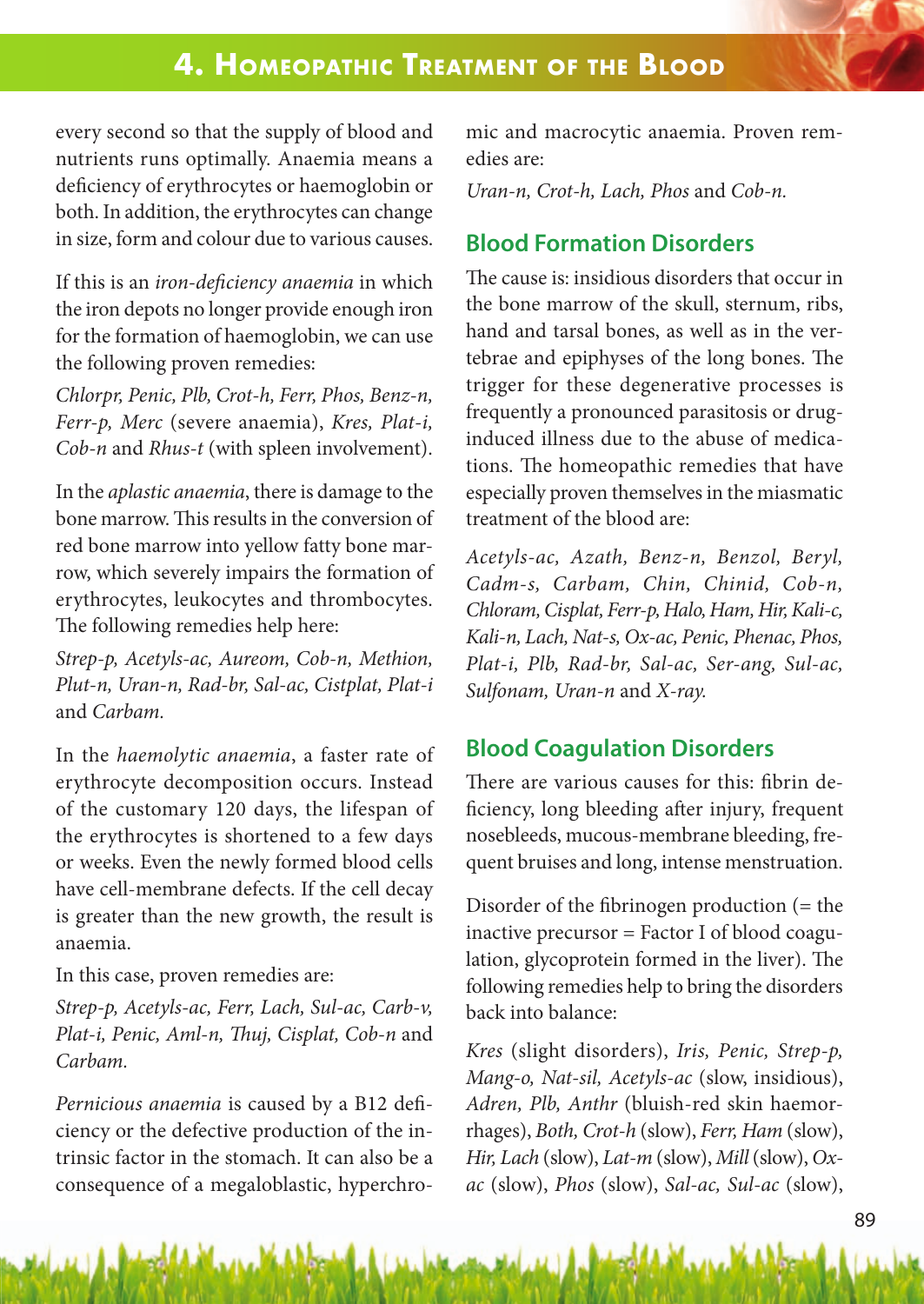## **4. homeoPAthiC treAtment of the blood**

every second so that the supply of blood and nutrients runs optimally. Anaemia means a deficiency of erythrocytes or haemoglobin or both. In addition, the erythrocytes can change in size, form and colour due to various causes.

If this is an *iron-deficiency anaemia* in which the iron depots no longer provide enough iron for the formation of haemoglobin, we can use the following proven remedies:

*Chlorpr, Penic, Plb, Crot-h, Ferr, Phos, Benz-n, Ferr-p, Merc* (severe anaemia), *Kres, Plat-i, Cob-n* and *Rhus-t* (with spleen involvement).

In the *aplastic anaemia*, there is damage to the bone marrow. This results in the conversion of red bone marrow into yellow fatty bone marrow, which severely impairs the formation of erythrocytes, leukocytes and thrombocytes. The following remedies help here:

*Strep-p, Acetyls-ac, Aureom, Cob-n, Methion, Plut-n, Uran-n, Rad-br, Sal-ac, Cistplat, Plat-i*  and *Carbam.*

In the *haemolytic anaemia*, a faster rate of erythrocyte decomposition occurs. Instead of the customary 120 days, the lifespan of the erythrocytes is shortened to a few days or weeks. Even the newly formed blood cells have cell-membrane defects. If the cell decay is greater than the new growth, the result is anaemia.

In this case, proven remedies are:

*Strep-p, Acetyls-ac, Ferr, Lach, Sul-ac, Carb-v, Plat-i, Penic, Aml-n, Thuj, Cisplat, Cob-n* and *Carbam.*

*Pernicious anaemia* is caused by a B12 deficiency or the defective production of the intrinsic factor in the stomach. It can also be a consequence of a megaloblastic, hyperchromic and macrocytic anaemia. Proven remedies are:

*Uran-n, Crot-h, Lach, Phos* and *Cob-n.*

## **Blood Formation Disorders**

The cause is: insidious disorders that occur in the bone marrow of the skull, sternum, ribs, hand and tarsal bones, as well as in the vertebrae and epiphyses of the long bones. The trigger for these degenerative processes is frequently a pronounced parasitosis or druginduced illness due to the abuse of medications. The homeopathic remedies that have especially proven themselves in the miasmatic treatment of the blood are:

*Acetyls-ac, Azath, Benz-n, Benzol, Beryl, Cadm-s, Carbam, Chin, Chinid, Cob-n, Chloram, Cisplat, Ferr-p, Halo, Ham, Hir, Kali-c, Kali-n, Lach, Nat-s, Ox-ac, Penic, Phenac, Phos, Plat-i, Plb, Rad-br, Sal-ac, Ser-ang, Sul-ac, Sulfonam, Uran-n* and *X-ray.*

### **Blood Coagulation Disorders**

There are various causes for this: fibrin deficiency, long bleeding after injury, frequent nosebleeds, mucous-membrane bleeding, frequent bruises and long, intense menstruation.

Disorder of the fibrinogen production (= the inactive precursor = Factor I of blood coagulation, glycoprotein formed in the liver). The following remedies help to bring the disorders back into balance:

*Kres* (slight disorders), *Iris, Penic, Strep-p, Mang-o, Nat-sil, Acetyls-ac* (slow, insidious), *Adren, Plb, Anthr* (bluish-red skin haemorrhages), *Both, Crot-h* (slow), *Ferr, Ham* (slow), *Hir, Lach* (slow), *Lat-m* (slow), *Mill* (slow), *Oxac* (slow), *Phos* (slow), *Sal-ac, Sul-ac* (slow),